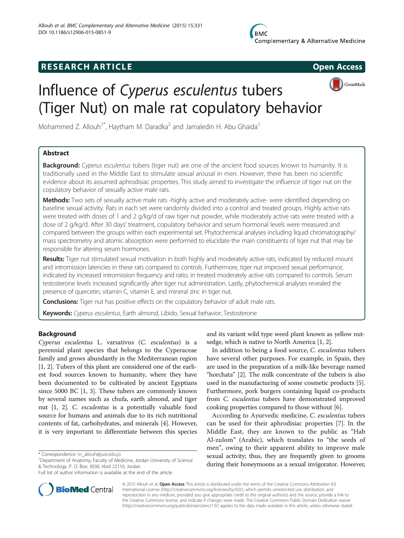# **RESEARCH ARTICLE Example 2014 CONSIDERING CONSIDERING CONSIDERING CONSIDERING CONSIDERING CONSIDERING CONSIDERING CONSIDERING CONSIDERING CONSIDERING CONSIDERING CONSIDERING CONSIDERING CONSIDERING CONSIDERING CONSIDE**

CrossMark



Mohammed Z. Allouh<sup>1\*</sup>, Haytham M. Daradka<sup>2</sup> and Jamaledin H. Abu Ghaida<sup>1</sup>

## Abstract

Background: Cyperus esculentus tubers (tiger nut) are one of the ancient food sources known to humanity. It is traditionally used in the Middle East to stimulate sexual arousal in men. However, there has been no scientific evidence about its assumed aphrodisiac properties. This study aimed to investigate the influence of tiger nut on the copulatory behavior of sexually active male rats.

Methods: Two sets of sexually active male rats -highly active and moderately active- were identified depending on baseline sexual activity. Rats in each set were randomly divided into a control and treated groups. Highly active rats were treated with doses of 1 and 2 g/kg/d of raw tiger nut powder, while moderately active rats were treated with a dose of 2 g/kg/d. After 30 days' treatment, copulatory behavior and serum hormonal levels were measured and compared between the groups within each experimental set. Phytochemical analyses including liquid chromatography/ mass spectrometry and atomic absorption were performed to elucidate the main constituents of tiger nut that may be responsible for altering serum hormones.

Results: Tiger nut stimulated sexual motivation in both highly and moderately active rats, indicated by reduced mount and intromission latencies in these rats compared to controls. Furthermore, tiger nut improved sexual performance, indicated by increased intromission frequency and ratio, in treated moderately active rats compared to controls. Serum testosterone levels increased significantly after tiger nut administration. Lastly, phytochemical analyses revealed the presence of quercetin, vitamin C, vitamin E, and mineral zinc in tiger nut.

**Conclusions:** Tiger nut has positive effects on the copulatory behavior of adult male rats.

Keywords: Cyperus esculentus, Earth almond, Libido, Sexual behavior, Testosterone

## Background

Cyperus esculentus L. varsativus (C. esculentus) is a perennial plant species that belongs to the Cyperaceae family and grows abundantly in the Mediterranean region [[1, 2](#page-5-0)]. Tubers of this plant are considered one of the earliest food sources known to humanity, where they have been documented to be cultivated by ancient Egyptians since 5000 BC [\[1, 3](#page-5-0)]. These tubers are commonly known by several names such as chufa, earth almond, and tiger nut [[1, 2\]](#page-5-0). C. esculentus is a potentially valuable food source for humans and animals due to its rich nutritional contents of fat, carbohydrates, and minerals [\[4\]](#page-5-0). However, it is very important to differentiate between this species



In addition to being a food source, C. esculentus tubers have several other purposes. For example, in Spain, they are used in the preparation of a milk-like beverage named "horchata" [\[2](#page-5-0)]. The milk concentrate of the tubers is also used in the manufacturing of some cosmetic products [[5](#page-5-0)]. Furthermore, pork burgers containing liquid co-products from C. esculentus tubers have demonstrated improved cooking properties compared to those without [[6\]](#page-6-0).

According to Ayurvedic medicine, C. esculentus tubers can be used for their aphrodisiac properties [\[7](#page-6-0)]. In the Middle East, they are known to the public as "Hab Al-zulom" (Arabic), which translates to "the seeds of men", owing to their apparent ability to improve male sexual activity; thus, they are frequently given to grooms during their honeymoons as a sexual invigorator. However,



© 2015 Allouh et al. Open Access This article is distributed under the terms of the Creative Commons Attribution 4.0 International License [\(http://creativecommons.org/licenses/by/4.0/](http://creativecommons.org/licenses/by/4.0/)), which permits unrestricted use, distribution, and reproduction in any medium, provided you give appropriate credit to the original author(s) and the source, provide a link to the Creative Commons license, and indicate if changes were made. The Creative Commons Public Domain Dedication waiver [\(http://creativecommons.org/publicdomain/zero/1.0/](http://creativecommons.org/publicdomain/zero/1.0/)) applies to the data made available in this article, unless otherwise stated.

<sup>\*</sup> Correspondence: [m\\_allouh@just.edu.jo](mailto:m_allouh@just.edu.jo) <sup>1</sup>

<sup>&</sup>lt;sup>1</sup>Department of Anatomy, Faculty of Medicine, Jordan University of Science & Technology, P. O. Box: 3030, Irbid 22110, Jordan

Full list of author information is available at the end of the article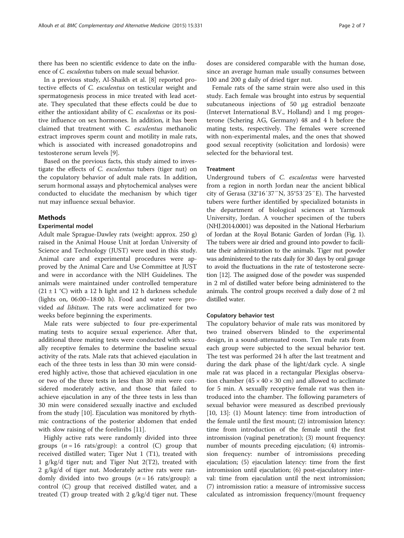there has been no scientific evidence to date on the influence of C. esculentus tubers on male sexual behavior.

In a previous study, Al-Shaikh et al. [[8\]](#page-6-0) reported protective effects of C. esculentus on testicular weight and spermatogenesis process in mice treated with lead acetate. They speculated that these effects could be due to either the antioxidant ability of C. esculentus or its positive influence on sex hormones. In addition, it has been claimed that treatment with C. esculentus methanolic extract improves sperm count and motility in male rats, which is associated with increased gonadotropins and testosterone serum levels [[9\]](#page-6-0).

Based on the previous facts, this study aimed to investigate the effects of C. esculentus tubers (tiger nut) on the copulatory behavior of adult male rats. In addition, serum hormonal assays and phytochemical analyses were conducted to elucidate the mechanism by which tiger nut may influence sexual behavior.

#### **Mathods**

#### Experimental model

Adult male Sprague-Dawley rats (weight: approx. 250 g) raised in the Animal House Unit at Jordan University of Science and Technology (JUST) were used in this study. Animal care and experimental procedures were approved by the Animal Care and Use Committee at JUST and were in accordance with the NIH Guidelines. The animals were maintained under controlled temperature  $(21 \pm 1 \degree C)$  with a 12 h light and 12 h darkness schedule (lights on, 06:00–18:00 h). Food and water were provided ad libitum. The rats were acclimatized for two weeks before beginning the experiments.

Male rats were subjected to four pre-experimental mating tests to acquire sexual experience. After that, additional three mating tests were conducted with sexually receptive females to determine the baseline sexual activity of the rats. Male rats that achieved ejaculation in each of the three tests in less than 30 min were considered highly active, those that achieved ejaculation in one or two of the three tests in less than 30 min were considered moderately active, and those that failed to achieve ejaculation in any of the three tests in less than 30 min were considered sexually inactive and excluded from the study [\[10\]](#page-6-0). Ejaculation was monitored by rhythmic contractions of the posterior abdomen that ended with slow raising of the forelimbs [[11\]](#page-6-0).

Highly active rats were randomly divided into three groups ( $n = 16$  rats/group): a control (C) group that received distilled water; Tiger Nut 1 (T1), treated with 1 g/kg/d tiger nut; and Tiger Nut 2(T2), treated with 2 g/kg/d of tiger nut. Moderately active rats were randomly divided into two groups  $(n = 16 \text{ rats/group})$ : a control (C) group that received distilled water, and a treated (T) group treated with 2 g/kg/d tiger nut. These doses are considered comparable with the human dose, since an average human male usually consumes between 100 and 200 g daily of dried tiger nut.

Female rats of the same strain were also used in this study. Each female was brought into estrus by sequential subcutaneous injections of 50 μg estradiol benzoate (Intervet International B.V., Holland) and 1 mg progesterone (Schering AG, Germany) 48 and 4 h before the mating tests, respectively. The females were screened with non-experimental males, and the ones that showed good sexual receptivity (solicitation and lordosis) were selected for the behavioral test.

### Treatment

Underground tubers of C. esculentus were harvested from a region in north Jordan near the ancient biblical city of Gerasa (32°16′37″N, 35°53′25″E). The harvested tubers were further identified by specialized botanists in the department of biological sciences at Yarmouk University, Jordan. A voucher specimen of the tubers (NHJ.2014.0001) was deposited in the National Herbarium of Jordan at the Royal Botanic Garden of Jordan (Fig. [1](#page-2-0)). The tubers were air dried and ground into powder to facilitate their administration to the animals. Tiger nut powder was administered to the rats daily for 30 days by oral gavage to avoid the fluctuations in the rate of testosterone secretion [\[12\]](#page-6-0). The assigned dose of the powder was suspended in 2 ml of distilled water before being administered to the animals. The control groups received a daily dose of 2 ml distilled water.

## Copulatory behavior test

The copulatory behavior of male rats was monitored by two trained observers blinded to the experimental design, in a sound-attenuated room. Ten male rats from each group were subjected to the sexual behavior test. The test was performed 24 h after the last treatment and during the dark phase of the light/dark cycle. A single male rat was placed in a rectangular Plexiglas observation chamber  $(45 \times 40 \times 30 \text{ cm})$  and allowed to acclimate for 5 min. A sexually receptive female rat was then introduced into the chamber. The following parameters of sexual behavior were measured as described previously [[10, 13](#page-6-0)]: (1) Mount latency: time from introduction of the female until the first mount; (2) intromission latency: time from introduction of the female until the first intromission (vaginal penetration); (3) mount frequency: number of mounts preceding ejaculation; (4) intromission frequency: number of intromissions preceding ejaculation; (5) ejaculation latency: time from the first intromission until ejaculation; (6) post-ejaculatory interval: time from ejaculation until the next intromission; (7) intromission ratio: a measure of intromissive success calculated as intromission frequency/(mount frequency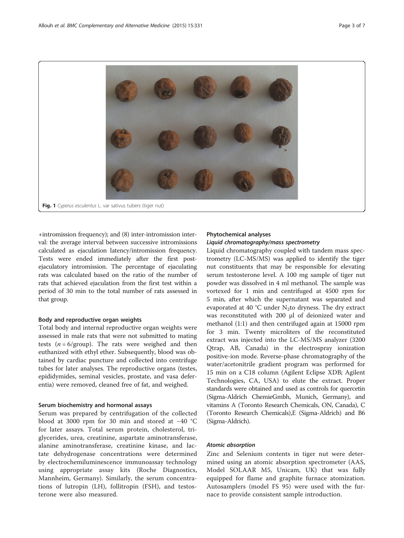<span id="page-2-0"></span>

+intromission frequency); and (8) inter-intromission interval: the average interval between successive intromissions calculated as ejaculation latency/intromission frequency. Tests were ended immediately after the first postejaculatory intromission. The percentage of ejaculating rats was calculated based on the ratio of the number of rats that achieved ejaculation from the first test within a period of 30 min to the total number of rats assessed in that group.

### Body and reproductive organ weights

Total body and internal reproductive organ weights were assessed in male rats that were not submitted to mating tests ( $n = 6$ /group). The rats were weighed and then euthanized with ethyl ether. Subsequently, blood was obtained by cardiac puncture and collected into centrifuge tubes for later analyses. The reproductive organs (testes, epididymides, seminal vesicles, prostate, and vasa deferentia) were removed, cleaned free of fat, and weighed.

#### Serum biochemistry and hormonal assays

Serum was prepared by centrifugation of the collected blood at 3000 rpm for 30 min and stored at −40 °C for later assays. Total serum protein, cholesterol, triglycerides, urea, creatinine, aspartate aminotransferase, alanine aminotransferase, creatinine kinase, and lactate dehydrogenase concentrations were determined by electrochemiluminescence immunoassay technology using appropriate assay kits (Roche Diagnostics, Mannheim, Germany). Similarly, the serum concentrations of lutropin (LH), follitropin (FSH), and testosterone were also measured.

## Phytochemical analyses

## Liquid chromatography/mass spectrometry

Liquid chromatography coupled with tandem mass spectrometry (LC-MS/MS) was applied to identify the tiger nut constituents that may be responsible for elevating serum testosterone level. A 100 mg sample of tiger nut powder was dissolved in 4 ml methanol. The sample was vortexed for 1 min and centrifuged at 4500 rpm for 5 min, after which the supernatant was separated and evaporated at 40 °C under  $N_2$ to dryness. The dry extract was reconstituted with 200 μl of deionized water and methanol (1:1) and then centrifuged again at 15000 rpm for 3 min. Twenty microliters of the reconstituted extract was injected into the LC-MS/MS analyzer (3200 Qtrap, AB, Canada) in the electrospray ionization positive-ion mode. Reverse-phase chromatography of the water/acetonitrile gradient program was performed for 15 min on a C18 column (Agilent Eclipse XDB; Agilent Technologies, CA, USA) to elute the extract. Proper standards were obtained and used as controls for quercetin (Sigma-Aldrich ChemieGmbh, Munich, Germany), and vitamins A (Toronto Research Chemicals, ON, Canada), C (Toronto Research Chemicals),E (Sigma-Aldrich) and B6 (Sigma-Aldrich).

#### Atomic absorption

Zinc and Selenium contents in tiger nut were determined using an atomic absorption spectrometer (AAS, Model SOLAAR M5, Unicam, UK) that was fully equipped for flame and graphite furnace atomization. Autosamplers (model FS 95) were used with the furnace to provide consistent sample introduction.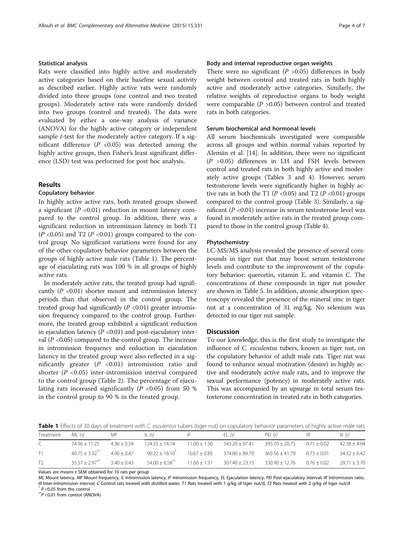#### Statistical analysis

Rats were classified into highly active and moderately active categories based on their baseline sexual activity as described earlier. Highly active rats were randomly divided into three groups (one control and two treated groups). Moderately active rats were randomly divided into two groups (control and treated). The data were evaluated by either a one-way analysis of variance (ANOVA) for the highly active category or independent sample t-test for the moderately active category. If a significant difference  $(P \lt 0.05)$  was detected among the highly active groups, then Fisher's least significant difference (LSD) test was performed for post hoc analysis.

### Results

### Copulatory behavior

In highly active active rats, both treated groups showed a significant ( $P < 0.01$ ) reduction in mount latency compared to the control group. In addition, there was a significant reduction in intromission latency in both T1  $(P \le 0.05)$  and T2  $(P \le 0.01)$  groups compared to the control group. No significant variations were found for any of the other copulatory behavior parameters between the groups of highly active male rats (Table 1). The percentage of ejaculating rats was 100 % in all groups of highly active rats.

In moderately active rats, the treated group had significantly  $(P \le 0.01)$  shorter mount and intromission latency periods than that observed in the control group. The treated group had significantly  $(P \lt 0.01)$  greater intromission frequency compared to the control group. Furthermore, the treated group exhibited a significant reduction in ejaculation latency  $(P < 0.01)$  and post-ejaculatory interval ( $P$  <0.05) compared to the control group. The increase in intromission frequency and reduction in ejaculation latency in the treated group were also reflected in a significantly greater  $(P \lt 0.01)$  intromission ratio and shorter ( $P < 0.05$ ) inter-intromission interval compared to the control group (Table [2\)](#page-4-0). The percentage of ejaculating rats increased significantly  $(P \lt 0.05)$  from 50 % in the control group to 90 % in the treated group.

#### Body and internal reproductive organ weights

There were no significant ( $P > 0.05$ ) differences in body weight between control and treated rats in both highly active and moderately active categories. Similarly, the relative weights of reproductive organs to body weight were comparable  $(P > 0.05)$  between control and treated rats in both categories.

#### Serum biochemical and hormonal levels

All serum biochemicals investigated were comparable across all groups and within normal values reported by Alemán et al. [[14](#page-6-0)]. In addition, there were no significant  $(P > 0.05)$  differences in LH and FSH levels between control and treated rats in both highly active and moderately active groups (Tables [3](#page-4-0) and [4\)](#page-4-0). However, serum testosterone levels were significantly higher in highly active rats in both the T1 ( $P < 0.05$ ) and T2 ( $P < 0.01$ ) groups compared to the control group (Table [3](#page-4-0)). Similarly, a significant  $(P < 0.01)$  increase in serum testosterone level was found in moderately active rats in the treated group compared to those in the control group (Table [4](#page-4-0)).

#### Phytochemistry

LC-MS/MS analysis revealed the presence of several compounds in tiger nut that may boost serum testosterone levels and contribute to the improvement of the copulatory behavior: quercetin, vitamin E, and vitamin C. The concentrations of these compounds in tiger nut powder are shown in Table [5](#page-5-0). In addition, atomic absorption spectroscopy revealed the presence of the mineral zinc in tiger nut at a concentration of 31 mg/kg. No selenium was detected in our tiger nut sample.

#### **Discussion**

To our knowledge, this is the first study to investigate the influence of *C. esculentus* tubers, known as tiger nut, on the copulatory behavior of adult male rats. Tiger nut was found to enhance sexual motivation (desire) in highly active and moderately active male rats, and to improve the sexual performance (potency) in moderately active rats. This was accompanied by an upsurge in total serum testosterone concentration in treated rats in both categories.

Table 1 Effects of 30 days of treatment with C. esculentus tubers (tiger nut) on copulatory behavior parameters of highly active male rats

| Treatment    | ML (s)                                     | MF.           | IL $(s)$                     | I۴             | EL(s)                               | PFI(s)           | IR.             | III(s)         |
|--------------|--------------------------------------------|---------------|------------------------------|----------------|-------------------------------------|------------------|-----------------|----------------|
| $\mathsf{C}$ | $74.36 + 11.25$                            | $4.36 + 0.54$ | $124.55 + 14.14$             | $11.00 + 1.50$ | $545.20 + 97.41$                    | 395.70 ± 20.75   | $0.71 \pm 0.02$ | $42.38 + 4.94$ |
| T1           | $40.75 + 3.32$ <sup>**</sup>               | $4.00 + 0.47$ | $90.22 + 16.10^{*}$          |                | $10.67 \pm 0.85$ $374.00 \pm 89.79$ | $365.56 + 41.79$ | $0.73 + 0.01$   | $34.32 + 6.42$ |
| T2           | $35.57 + 2.97$ <sup>**</sup> $3.40 + 0.43$ |               | $54.00 + 6.58$ <sup>**</sup> | $11.60 + 1.51$ | $307.40 + 23.15$                    | $330.90 + 12.76$ | $0.76 + 0.02$   | $29.71 + 3.70$ |

Values are means ± SEM obtained for 10 rats per group

ML Mount latency, MF Mount frequency, IL Intromission latency, IF Intromission frequency, EL Ejaculation latency, PEI Post-ejaculatory interval, IR Intromission ratio, III Inter-intromission interval, C Control rats treated with distilled water, T1 Rats treated with 1 g/kg of tiger nut/d, T2 Rats treated with 2 g/kg of tiger nut/d  $*P < 0.05$  from the control<br>\*P <0.05 from the control (A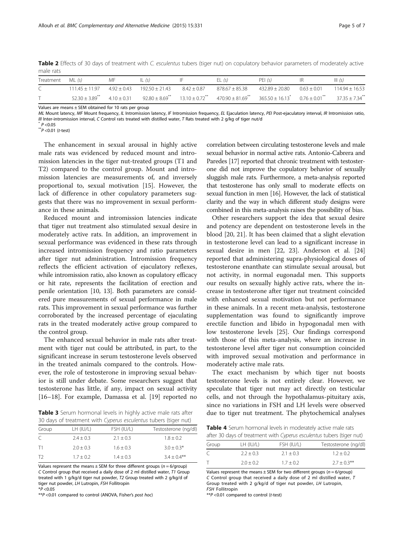| male rats        |                    |                 |                    |                 |                    |                    |                 |                    |
|------------------|--------------------|-----------------|--------------------|-----------------|--------------------|--------------------|-----------------|--------------------|
| Treatment ML (s) |                    | МF              |                    |                 |                    | PEI(s)             |                 | III(5)             |
|                  | $111.45 \pm 11.97$ | $4.92 \pm 0.43$ | $192.50 \pm 21.43$ | $8.42 \pm 0.87$ | $878.67 \pm 85.38$ | $432.89 \pm 20.80$ | $0.63 \pm 0.01$ | $114.94 \pm 16.53$ |

<span id="page-4-0"></span>Table 2 Effects of 30 days of treatment with C. esculentus tubers (tiger nut) on copulatory behavior parameters of moderately active male rats

Values are means ± SEM obtained for 10 rats per group

ML Mount latency, MF Mount frequency, IL Intromission latency, IF Intromission frequency, EL Ejaculation latency, PEI Post-ejaculatory interval, IR Intromission ratio, III Inter-intromission interval, C Control rats treated with distilled water, T Rats treated with 2 g/kg of tiger nut/d  $P < 0.05$ <br>\*\*P <0.01 (t-test)

 $T$  52.30  $\pm$  3.89\*\* 4.10  $\pm$  0.31 92.80  $\pm$  8.69\*\* 13.10  $\pm$  0.72\*\* 470.90  $\pm$  81.69\*\* 365.50  $\pm$  16.13\* 0.76  $\pm$  0.01\*\* 37.35  $\pm$  7.34\*\*

The enhancement in sexual arousal in highly active male rats was evidenced by reduced mount and intromission latencies in the tiger nut-treated groups (T1 and T2) compared to the control group. Mount and intromission latencies are measurements of, and inversely proportional to, sexual motivation [\[15](#page-6-0)]. However, the lack of difference in other copulatory parameters suggests that there was no improvement in sexual performance in these animals.

Reduced mount and intromission latencies indicate that tiger nut treatment also stimulated sexual desire in moderately active rats. In addition, an improvement in sexual performance was evidenced in these rats through increased intromission frequency and ratio parameters after tiger nut administration. Intromission frequency reflects the efficient activation of ejaculatory reflexes, while intromission ratio, also known as copulatory efficacy or hit rate, represents the facilitation of erection and penile orientation [[10](#page-6-0), [13](#page-6-0)]. Both parameters are considered pure measurements of sexual performance in male rats. This improvement in sexual performance was further corroborated by the increased percentage of ejaculating rats in the treated moderately active group compared to the control group.

The enhanced sexual behavior in male rats after treatment with tiger nut could be attributed, in part, to the significant increase in serum testosterone levels observed in the treated animals compared to the controls. However, the role of testosterone in improving sexual behavior is still under debate. Some researchers suggest that testosterone has little, if any, impact on sexual activity [[16](#page-6-0)–[18](#page-6-0)]. For example, Damassa et al. [\[19](#page-6-0)] reported no

Table 3 Serum hormonal levels in highly active male rats after 30 days of treatment with Cyperus esculentus tubers (tiger nut)

| Group | LH (IU/L)   | FSH (IU/L)    | Testosterone (ng/dl) |
|-------|-------------|---------------|----------------------|
|       | $2.4 + 0.3$ | $2.1 \pm 0.3$ | $1.8 \pm 0.2$        |
| T1    | $2.0 + 0.3$ | $1.6 \pm 0.3$ | $3.0 + 0.3*$         |
| T2    | $1.7 + 0.2$ | $1.4 \pm 0.3$ | $3.4 + 0.4$ **       |

Values represent the means  $\pm$  SEM for three different groups ( $n = 6$ /group) C Control group that received a daily dose of 2 ml distilled water, T1 Group treated with 1 g/kg/d tiger nut powder, T2 Group treated with 2 g/kg/d of tiger nut powder, LH Lutropin, FSH Follitropin  $*P < 0.05$ 

\*\*P <0.01 compared to control (ANOVA, Fisher's post hoc)

correlation between circulating testosterone levels and male sexual behavior in normal active rats. Antonio-Cabrera and Paredes [\[17\]](#page-6-0) reported that chronic treatment with testosterone did not improve the copulatory behavior of sexually sluggish male rats. Furthermore, a meta-analysis reported that testosterone has only small to moderate effects on sexual function in men [\[16\]](#page-6-0). However, the lack of statistical clarity and the way in which different study designs were combined in this meta-analysis raises the possibility of bias.

Other researchers support the idea that sexual desire and potency are dependent on testosterone levels in the blood [\[20, 21\]](#page-6-0). It has been claimed that a slight elevation in testosterone level can lead to a significant increase in sexual desire in men [[22, 23\]](#page-6-0). Anderson et al. [[24](#page-6-0)] reported that administering supra-physiological doses of testosterone enanthate can stimulate sexual arousal, but not activity, in normal eugonadal men. This supports our results on sexually highly active rats, where the increase in testosterone after tiger nut treatment coincided with enhanced sexual motivation but not performance in these animals. In a recent meta-analysis, testosterone supplementation was found to significantly improve erectile function and libido in hypogonadal men with low testosterone levels [\[25](#page-6-0)]. Our findings correspond with those of this meta-analysis, where an increase in testosterone level after tiger nut consumption coincided with improved sexual motivation and performance in moderately active male rats.

The exact mechanism by which tiger nut boosts testosterone levels is not entirely clear. However, we speculate that tiger nut may act directly on testicular cells, and not through the hypothalamus-pituitary axis, since no variations in FSH and LH levels were observed due to tiger nut treatment. The phytochemical analyses

Table 4 Serum hormonal levels in moderately active male rats after 30 days of treatment with Cyperus esculentus tubers (tiger nut)

| Group | LH (IU/L)     | FSH (IU/L)    | Testosterone (ng/dl) |
|-------|---------------|---------------|----------------------|
| C     | $2.2 + 0.3$   | $2.1 \pm 0.3$ | $1.2 + 0.2$          |
|       | $2.0 \pm 0.2$ | $1.7 + 0.2$   | $2.7 + 0.3***$       |

Values represent the means  $\pm$  SEM for two different groups ( $n = 6$ /group) C Control group that received a daily dose of 2 ml distilled water, T Group treated with 2 g/kg/d of tiger nut powder, LH Lutropin, FSH Follitropin

\*\*P <0.01 compared to control (t-test)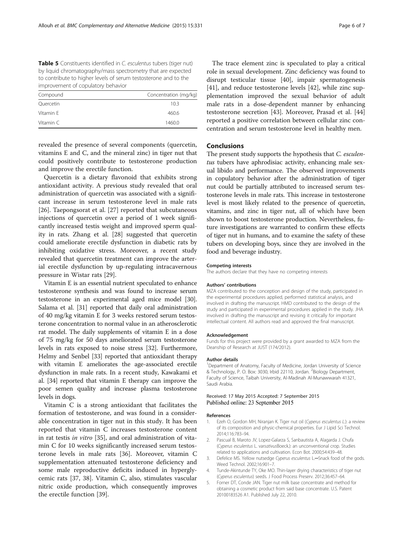<span id="page-5-0"></span>Table 5 Constituents identified in C. esculentus tubers (tiger nut) by liquid chromatography/mass spectrometry that are expected to contribute to higher levels of serum testosterone and to the improvement of copulatory behavior

| Compound  | Concentration (mg/kg) |  |  |
|-----------|-----------------------|--|--|
| Quercetin | 10.3                  |  |  |
| Vitamin F | 460.6                 |  |  |
| Vitamin C | 1460.0                |  |  |

revealed the presence of several components (quercetin, vitamins E and C, and the mineral zinc) in tiger nut that could positively contribute to testosterone production and improve the erectile function.

Quercetin is a dietary flavonoid that exhibits strong antioxidant activity. A previous study revealed that oral administration of quercetin was associated with a significant increase in serum testosterone level in male rats [[26\]](#page-6-0). Taepongsorat et al. [[27\]](#page-6-0) reported that subcutaneous injections of quercetin over a period of 1 week significantly increased testis weight and improved sperm quality in rats. Zhang et al. [\[28](#page-6-0)] suggested that quercetin could ameliorate erectile dysfunction in diabetic rats by inhibiting oxidative stress. Moreover, a recent study revealed that quercetin treatment can improve the arterial erectile dysfunction by up-regulating intracavernous pressure in Wistar rats [\[29](#page-6-0)].

Vitamin E is an essential nutrient speculated to enhance testosterone synthesis and was found to increase serum testosterone in an experimental aged mice model [[30](#page-6-0)]. Salama et al. [\[31\]](#page-6-0) reported that daily oral administration of 40 mg/kg vitamin E for 3 weeks restored serum testosterone concentration to normal value in an atherosclerotic rat model. The daily supplements of vitamin E in a dose of 75 mg/kg for 50 days ameliorated serum testosterone levels in rats exposed to noise stress [\[32\]](#page-6-0). Furthermore, Helmy and Senbel [\[33\]](#page-6-0) reported that antioxidant therapy with vitamin E ameliorates the age-associated erectile dysfunction in male rats. In a recent study, Kawakami et al. [\[34](#page-6-0)] reported that vitamin E therapy can improve the poor semen quality and increase plasma testosterone levels in dogs.

Vitamin C is a strong antioxidant that facilitates the formation of testosterone, and was found in a considerable concentration in tiger nut in this study. It has been reported that vitamin C increases testosterone content in rat testis in vitro [[35](#page-6-0)], and oral administration of vitamin C for 10 weeks significantly increased serum testosterone levels in male rats [\[36](#page-6-0)]. Moreover, vitamin C supplementation attenuated testosterone deficiency and some male reproductive deficits induced in hyperglycemic rats [\[37](#page-6-0), [38\]](#page-6-0). Vitamin C, also, stimulates vascular nitric oxide production, which consequently improves the erectile function [\[39](#page-6-0)].

The trace element zinc is speculated to play a critical role in sexual development. Zinc deficiency was found to disrupt testicular tissue [[40\]](#page-6-0), impair spermatogenesis [[41\]](#page-6-0), and reduce testosterone levels [\[42](#page-6-0)], while zinc supplementation improved the sexual behavior of adult male rats in a dose-dependent manner by enhancing testosterone secretion [\[43](#page-6-0)]. Moreover, Prasad et al. [[44](#page-6-0)] reported a positive correlation between cellular zinc concentration and serum testosterone level in healthy men.

### Conclusions

The present study supports the hypothesis that C. esculentus tubers have aphrodisiac activity, enhancing male sexual libido and performance. The observed improvements in copulatory behavior after the administration of tiger nut could be partially attributed to increased serum testosterone levels in male rats. This increase in testosterone level is most likely related to the presence of quercetin, vitamins, and zinc in tiger nut, all of which have been shown to boost testosterone production. Nevertheless, future investigations are warranted to confirm these effects of tiger nut in humans, and to examine the safety of these tubers on developing boys, since they are involved in the food and beverage industry.

#### Competing interests

The authors declare that they have no competing interests

#### Authors' contributions

MZA contributed to the conception and design of the study, participated in the experimental procedures applied, performed statistical analysis, and involved in drafting the manuscript. HMD contributed to the design of the study and participated in experimental procedures applied in the study. JHA involved in drafting the manuscript and revising it critically for important intellectual content. All authors read and approved the final manuscript.

#### Acknowledgement

Funds for this project were provided by a grant awarded to MZA from the Deanship of Research at JUST (174/2012).

#### Author details

<sup>1</sup>Department of Anatomy, Faculty of Medicine, Jordan University of Science & Technology, P. O. Box: 3030, Irbid 22110, Jordan. <sup>2</sup> Biology Department, Faculty of Science, Taibah University, Al-Madinah Al-Munawwarah 41321, Saudi Arabia.

#### Received: 17 May 2015 Accepted: 7 September 2015 Published online: 23 September 2015

#### References

- 1. Ezeh O, Gordon MH, Niranjan K. Tiger nut oil (Cyperus esculentus L.): a review of its composition and physic-chemical properties. Eur J Lipid Sci Technol. 2014;116:783–94.
- 2. Pascual B, Maroto JV, Lopez-Galarza S, Sanbautista A, Alagarda J. Chufa (Cyperus esculentus L. varsativusBoeck.): an unconventional crop. Studies related to applications and cultivation. Econ Bot. 2000;54:439–48.
- 3. Defelice MS. Yellow nutsedge Cyperus esculentus L.-Snack food of the gods. Weed Technol. 2002;16:901–7.
- 4. Tunde-Akintunde TY, Oke MO. Thin-layer drying characteristics of tiger nut (Cyperus esculentus) seeds. J Food Process Preserv. 2012;36:457–64.
- 5. Forner DT, Conde JAN. Tiger nut milk base concentrate and method for obtaining a cosmetic product from said base concentrate. U.S. Patent 20100183526 A1. Published July 22, 2010.